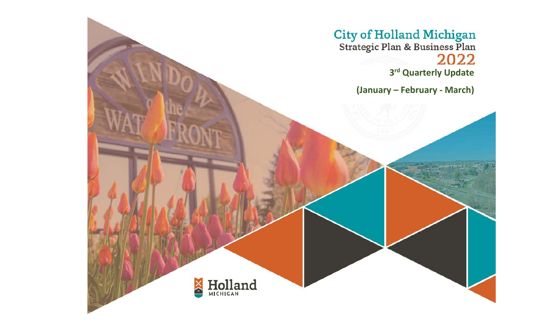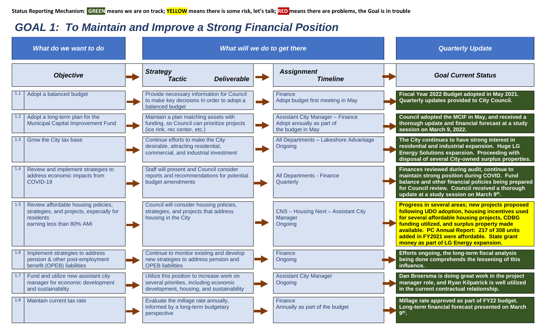## *GOAL 1: To Maintain and Improve a Strong Financial Position*

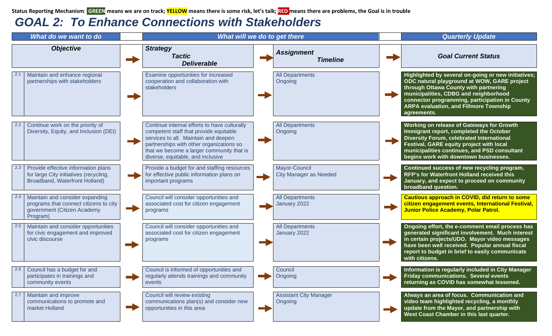**Status Reporting Mechanism**: **GREEN means we are on track; YELLOW means there is some risk, let's talk; RED means there are problems, the Goal is in trouble**

## *GOAL 2: To Enhance Connections with Stakeholders*

| What do we want to do                                                                                                |                                                                                                                                                                                                                                                              | What will we do to get there                   | <b>Quarterly Update</b>                                                                                                                                                                                                                                                                                |
|----------------------------------------------------------------------------------------------------------------------|--------------------------------------------------------------------------------------------------------------------------------------------------------------------------------------------------------------------------------------------------------------|------------------------------------------------|--------------------------------------------------------------------------------------------------------------------------------------------------------------------------------------------------------------------------------------------------------------------------------------------------------|
| <b>Objective</b>                                                                                                     | <b>Strategy</b><br><b>Tactic</b><br><b>Deliverable</b>                                                                                                                                                                                                       | <b>Assignment</b><br><b>Timeline</b>           | <b>Goal Current Status</b>                                                                                                                                                                                                                                                                             |
| Maintain and enhance regional<br>partnerships with stakeholders                                                      | Examine opportunities for increased<br>cooperation and collaboration with<br>stakeholders                                                                                                                                                                    | <b>All Departments</b><br>Ongoing              | Highlighted by several on-going or new initiatives;<br>ODC natural playground at WOW, GARE project<br>through Ottawa County with partnering<br>municipalities, CDBG and neighborhood<br>connector programming, participation in County<br><b>ARPA evaluation, and Fillmore Township</b><br>agreements. |
| Continue work on the priority of<br>Diversity, Equity, and Inclusion (DEI)                                           | Continue internal efforts to have culturally<br>competent staff that provide equitable<br>services to all. Maintain and deepen<br>partnerships with other organizations so<br>that we become a larger community that is<br>diverse, equitable, and inclusive | <b>All Departments</b><br>Ongoing              | Working on release of Gateways for Growth<br>Immigrant report, completed the October<br>Diversity Forum, celebrated International<br>Festival, GARE equity project with local<br>municipalities continues, and PSD consultant<br>begins work with downtown businesses.                                 |
| Provide effective information plans<br>for large City initiatives (recycling,<br>Broadband, Waterfront Holland)      | Provide a budget for and staffing resources<br>for effective public information plans on<br>important programs                                                                                                                                               | Mayor-Council<br><b>City Manager as Needed</b> | Continued success of new recycling program,<br>RFP's for Waterfront Holland received this<br>January, and expect to proceed on community<br>broadband question.                                                                                                                                        |
| Maintain and consider expanding<br>programs that connect citizens to city<br>government (Citizen Academy<br>Program) | Council will consider opportunities and<br>associated cost for citizen engagement<br>programs                                                                                                                                                                | <b>All Departments</b><br>January 2022         | Cautious approach in COVID, did return to some<br>citizen engagement events, International Festival,<br><b>Junior Police Academy, Polar Patrol.</b>                                                                                                                                                    |
| Maintain and consider opportunities<br>for civic engagement and improved<br>civic discourse                          | Council will consider opportunities and<br>associated cost for citizen engagement<br>programs                                                                                                                                                                | <b>All Departments</b><br>January 2022         | Ongoing effort, the e-comment email process has<br>generated significant involvement. Much interest<br>in certain projects/UDO. Mayor video messages<br>have been well received. Popular annual fiscal<br>report to budget in brief to easily communicate<br>with citizens.                            |
| 2.6<br>Council has a budget for and<br>participates in trainings and<br>community events                             | Council is informed of opportunities and<br>regularly attends trainings and community<br>events                                                                                                                                                              | Council<br>Ongoing                             | Information is regularly included in City Manager<br>Friday communications. Several events<br>returning as COVID has somewhat lessened.                                                                                                                                                                |
| Maintain and improve<br>2.7<br>communications to promote and<br>market Holland                                       | Council will review existing<br>communications plan(s) and consider new<br>opportunities in this area                                                                                                                                                        | <b>Assistant City Manager</b><br>Ongoing       | Always an area of focus. Communication and<br>video team highlighted recycling, a monthly<br>update from the Mayor, and partnership with<br>West Coast Chamber in this last quarter.                                                                                                                   |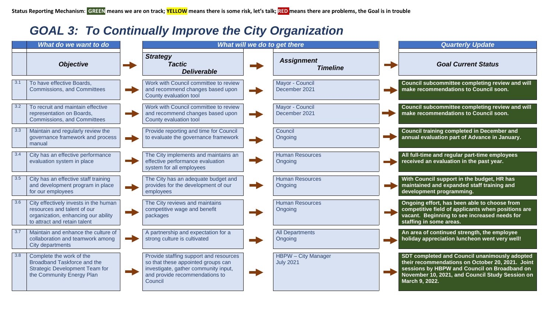## *GOAL 3: To Continually Improve the City Organization*